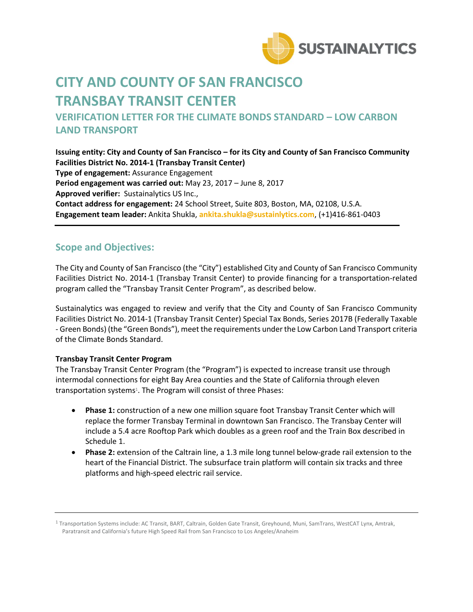

# **CITY AND COUNTY OF SAN FRANCISCO TRANSBAY TRANSIT CENTER**

## **VERIFICATION LETTER FOR THE CLIMATE BONDS STANDARD – LOW CARBON LAND TRANSPORT**

**Issuing entity: City and County of San Francisco – for its City and County of San Francisco Community Facilities District No. 2014-1 (Transbay Transit Center) Type of engagement:** Assurance Engagement **Period engagement was carried out:** May 23, 2017 – June 8, 2017 **Approved verifier:** Sustainalytics US Inc., **Contact address for engagement:** 24 School Street, Suite 803, Boston, MA, 02108, U.S.A. **Engagement team leader:** Ankita Shukla, **[ankita.shukla@sustainlytics.com](mailto:ankita.shukla@sustainlytics.com)**, (+1)416-861-0403

#### **Scope and Objectives:**

The City and County of San Francisco (the "City") established City and County of San Francisco Community Facilities District No. 2014-1 (Transbay Transit Center) to provide financing for a transportation-related program called the "Transbay Transit Center Program", as described below.

Sustainalytics was engaged to review and verify that the City and County of San Francisco Community Facilities District No. 2014-1 (Transbay Transit Center) Special Tax Bonds, Series 2017B (Federally Taxable - Green Bonds) (the "Green Bonds"), meet the requirements underthe Low Carbon Land Transport criteria of the Climate Bonds Standard.

#### **Transbay Transit Center Program**

The Transbay Transit Center Program (the "Program") is expected to increase transit use through intermodal connections for eight Bay Area counties and the State of California through eleven transportation systems<sup>1</sup>. The Program will consist of three Phases:

- **Phase 1:** construction of a new one million square foot Transbay Transit Center which will replace the former Transbay Terminal in downtown San Francisco. The Transbay Center will include a 5.4 acre Rooftop Park which doubles as a green roof and the Train Box described in Schedule 1.
- **Phase 2:** extension of the Caltrain line, a 1.3 mile long tunnel below-grade rail extension to the heart of the Financial District. The subsurface train platform will contain six tracks and three platforms and high-speed electric rail service.

<sup>1</sup> Transportation Systems include: AC Transit, BART, Caltrain, Golden Gate Transit, Greyhound, Muni, SamTrans, WestCAT Lynx, Amtrak, Paratransit and California's future High Speed Rail from San Francisco to Los Angeles/Anaheim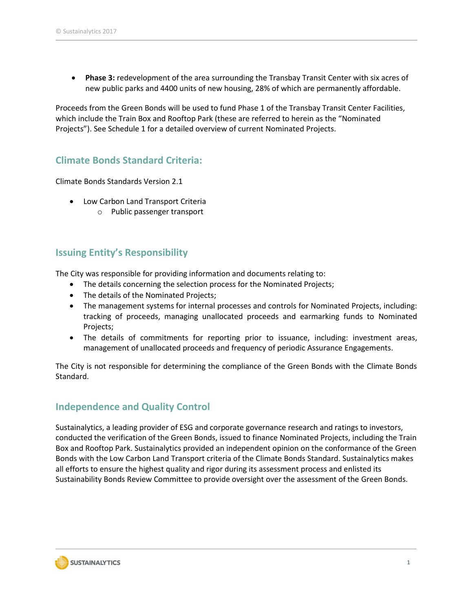**Phase 3:** redevelopment of the area surrounding the Transbay Transit Center with six acres of new public parks and 4400 units of new housing, 28% of which are permanently affordable.

Proceeds from the Green Bonds will be used to fund Phase 1 of the Transbay Transit Center Facilities, which include the Train Box and Rooftop Park (these are referred to herein as the "Nominated Projects"). See Schedule 1 for a detailed overview of current Nominated Projects.

### **Climate Bonds Standard Criteria:**

Climate Bonds Standards Version 2.1

- Low Carbon Land Transport Criteria
	- o Public passenger transport

#### **Issuing Entity's Responsibility**

The City was responsible for providing information and documents relating to:

- The details concerning the selection process for the Nominated Projects;
- The details of the Nominated Projects;
- The management systems for internal processes and controls for Nominated Projects, including: tracking of proceeds, managing unallocated proceeds and earmarking funds to Nominated Projects;
- The details of commitments for reporting prior to issuance, including: investment areas, management of unallocated proceeds and frequency of periodic Assurance Engagements.

The City is not responsible for determining the compliance of the Green Bonds with the Climate Bonds Standard.

#### **Independence and Quality Control**

Sustainalytics, a leading provider of ESG and corporate governance research and ratings to investors, conducted the verification of the Green Bonds, issued to finance Nominated Projects, including the Train Box and Rooftop Park. Sustainalytics provided an independent opinion on the conformance of the Green Bonds with the Low Carbon Land Transport criteria of the Climate Bonds Standard. Sustainalytics makes all efforts to ensure the highest quality and rigor during its assessment process and enlisted its Sustainability Bonds Review Committee to provide oversight over the assessment of the Green Bonds.

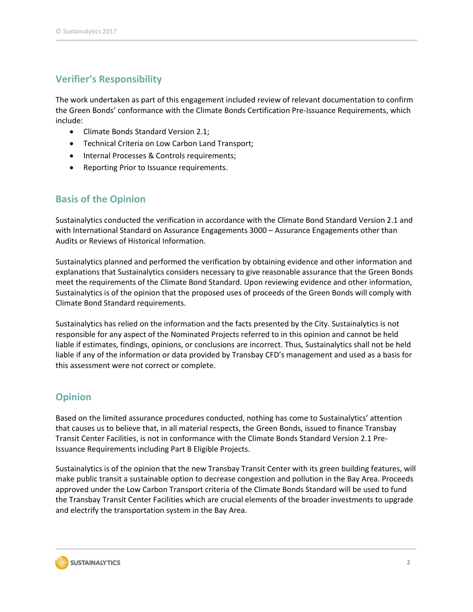## **Verifier's Responsibility**

The work undertaken as part of this engagement included review of relevant documentation to confirm the Green Bonds' conformance with the Climate Bonds Certification Pre-Issuance Requirements, which include:

- Climate Bonds Standard Version 2.1;
- Technical Criteria on Low Carbon Land Transport;
- Internal Processes & Controls requirements;
- Reporting Prior to Issuance requirements.

### **Basis of the Opinion**

Sustainalytics conducted the verification in accordance with the Climate Bond Standard Version 2.1 and with International Standard on Assurance Engagements 3000 – Assurance Engagements other than Audits or Reviews of Historical Information.

Sustainalytics planned and performed the verification by obtaining evidence and other information and explanations that Sustainalytics considers necessary to give reasonable assurance that the Green Bonds meet the requirements of the Climate Bond Standard. Upon reviewing evidence and other information, Sustainalytics is of the opinion that the proposed uses of proceeds of the Green Bonds will comply with Climate Bond Standard requirements.

Sustainalytics has relied on the information and the facts presented by the City. Sustainalytics is not responsible for any aspect of the Nominated Projects referred to in this opinion and cannot be held liable if estimates, findings, opinions, or conclusions are incorrect. Thus, Sustainalytics shall not be held liable if any of the information or data provided by Transbay CFD's management and used as a basis for this assessment were not correct or complete.

### **Opinion**

Based on the limited assurance procedures conducted, nothing has come to Sustainalytics' attention that causes us to believe that, in all material respects, the Green Bonds, issued to finance Transbay Transit Center Facilities, is not in conformance with the Climate Bonds Standard Version 2.1 Pre-Issuance Requirements including Part B Eligible Projects.

Sustainalytics is of the opinion that the new Transbay Transit Center with its green building features, will make public transit a sustainable option to decrease congestion and pollution in the Bay Area. Proceeds approved under the Low Carbon Transport criteria of the Climate Bonds Standard will be used to fund the Transbay Transit Center Facilities which are crucial elements of the broader investments to upgrade and electrify the transportation system in the Bay Area.

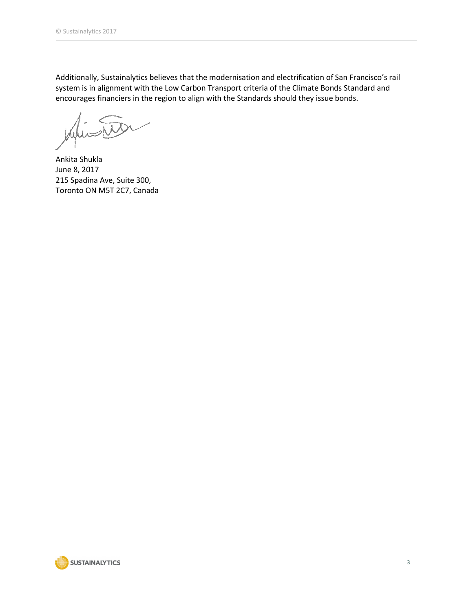Additionally, Sustainalytics believes that the modernisation and electrification of San Francisco's rail system is in alignment with the Low Carbon Transport criteria of the Climate Bonds Standard and encourages financiers in the region to align with the Standards should they issue bonds.

Ankita Shukla June 8, 2017 215 Spadina Ave, Suite 300, Toronto ON M5T 2C7, Canada

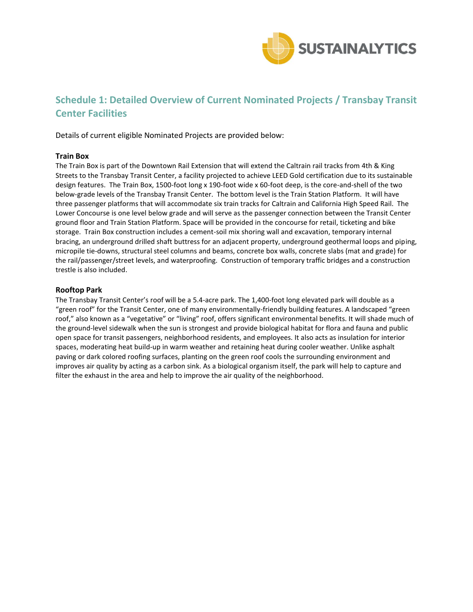

### **Schedule 1: Detailed Overview of Current Nominated Projects / Transbay Transit Center Facilities**

Details of current eligible Nominated Projects are provided below:

#### **Train Box**

The Train Box is part of the Downtown Rail Extension that will extend the Caltrain rail tracks from 4th & King Streets to the Transbay Transit Center, a facility projected to achieve LEED Gold certification due to its sustainable design features. The Train Box, 1500-foot long x 190-foot wide x 60-foot deep, is the core-and-shell of the two below-grade levels of the Transbay Transit Center. The bottom level is the Train Station Platform. It will have three passenger platforms that will accommodate six train tracks for Caltrain and California High Speed Rail. The Lower Concourse is one level below grade and will serve as the passenger connection between the Transit Center ground floor and Train Station Platform. Space will be provided in the concourse for retail, ticketing and bike storage. Train Box construction includes a cement-soil mix shoring wall and excavation, temporary internal bracing, an underground drilled shaft buttress for an adjacent property, underground geothermal loops and piping, micropile tie-downs, structural steel columns and beams, concrete box walls, concrete slabs (mat and grade) for the rail/passenger/street levels, and waterproofing. Construction of temporary traffic bridges and a construction trestle is also included.

#### **Rooftop Park**

The Transbay Transit Center's roof will be a 5.4-acre park. The 1,400-foot long elevated park will double as a "green roof" for the Transit Center, one of many environmentally-friendly building features. A landscaped "green roof," also known as a "vegetative" or "living" roof, offers significant environmental benefits. It will shade much of the ground-level sidewalk when the sun is strongest and provide biological habitat for flora and fauna and public open space for transit passengers, neighborhood residents, and employees. It also acts as insulation for interior spaces, moderating heat build-up in warm weather and retaining heat during cooler weather. Unlike asphalt paving or dark colored roofing surfaces, planting on the green roof cools the surrounding environment and improves air quality by acting as a carbon sink. As a biological organism itself, the park will help to capture and filter the exhaust in the area and help to improve the air quality of the neighborhood.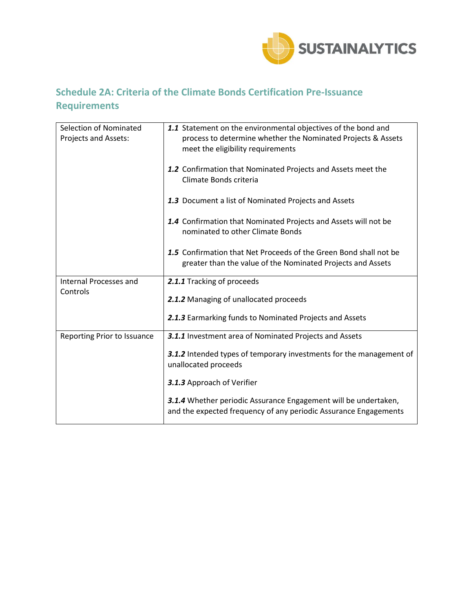

# **Schedule 2A: Criteria of the Climate Bonds Certification Pre-Issuance Requirements**

| Selection of Nominated<br>Projects and Assets: | 1.1 Statement on the environmental objectives of the bond and<br>process to determine whether the Nominated Projects & Assets<br>meet the eligibility requirements |
|------------------------------------------------|--------------------------------------------------------------------------------------------------------------------------------------------------------------------|
|                                                | 1.2 Confirmation that Nominated Projects and Assets meet the<br>Climate Bonds criteria                                                                             |
|                                                | 1.3 Document a list of Nominated Projects and Assets                                                                                                               |
|                                                | 1.4 Confirmation that Nominated Projects and Assets will not be<br>nominated to other Climate Bonds                                                                |
|                                                | 1.5 Confirmation that Net Proceeds of the Green Bond shall not be<br>greater than the value of the Nominated Projects and Assets                                   |
| <b>Internal Processes and</b>                  | 2.1.1 Tracking of proceeds                                                                                                                                         |
| Controls                                       | 2.1.2 Managing of unallocated proceeds                                                                                                                             |
|                                                | 2.1.3 Earmarking funds to Nominated Projects and Assets                                                                                                            |
| Reporting Prior to Issuance                    | 3.1.1 Investment area of Nominated Projects and Assets                                                                                                             |
|                                                | 3.1.2 Intended types of temporary investments for the management of<br>unallocated proceeds                                                                        |
|                                                | 3.1.3 Approach of Verifier                                                                                                                                         |
|                                                | 3.1.4 Whether periodic Assurance Engagement will be undertaken,<br>and the expected frequency of any periodic Assurance Engagements                                |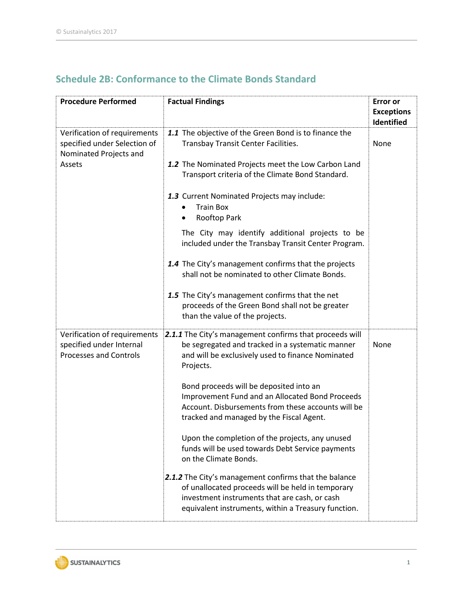| <b>Procedure Performed</b>                                                                       | <b>Factual Findings</b>                                                                                                                                                                                            | <b>Error</b> or<br><b>Exceptions</b><br><b>Identified</b> |
|--------------------------------------------------------------------------------------------------|--------------------------------------------------------------------------------------------------------------------------------------------------------------------------------------------------------------------|-----------------------------------------------------------|
| Verification of requirements<br>specified under Selection of<br>Nominated Projects and<br>Assets | 1.1 The objective of the Green Bond is to finance the<br>Transbay Transit Center Facilities.                                                                                                                       | None                                                      |
|                                                                                                  | 1.2 The Nominated Projects meet the Low Carbon Land<br>Transport criteria of the Climate Bond Standard.                                                                                                            |                                                           |
|                                                                                                  | 1.3 Current Nominated Projects may include:<br><b>Train Box</b><br>Rooftop Park                                                                                                                                    |                                                           |
|                                                                                                  | The City may identify additional projects to be<br>included under the Transbay Transit Center Program.                                                                                                             |                                                           |
|                                                                                                  | 1.4 The City's management confirms that the projects<br>shall not be nominated to other Climate Bonds.                                                                                                             |                                                           |
|                                                                                                  | 1.5 The City's management confirms that the net<br>proceeds of the Green Bond shall not be greater<br>than the value of the projects.                                                                              |                                                           |
| Verification of requirements<br>specified under Internal<br><b>Processes and Controls</b>        | 2.1.1 The City's management confirms that proceeds will<br>be segregated and tracked in a systematic manner<br>and will be exclusively used to finance Nominated<br>Projects.                                      | None                                                      |
|                                                                                                  | Bond proceeds will be deposited into an<br>Improvement Fund and an Allocated Bond Proceeds<br>Account. Disbursements from these accounts will be<br>tracked and managed by the Fiscal Agent.                       |                                                           |
|                                                                                                  | Upon the completion of the projects, any unused<br>funds will be used towards Debt Service payments<br>on the Climate Bonds.                                                                                       |                                                           |
|                                                                                                  | 2.1.2 The City's management confirms that the balance<br>of unallocated proceeds will be held in temporary<br>investment instruments that are cash, or cash<br>equivalent instruments, within a Treasury function. |                                                           |

# **Schedule 2B: Conformance to the Climate Bonds Standard**

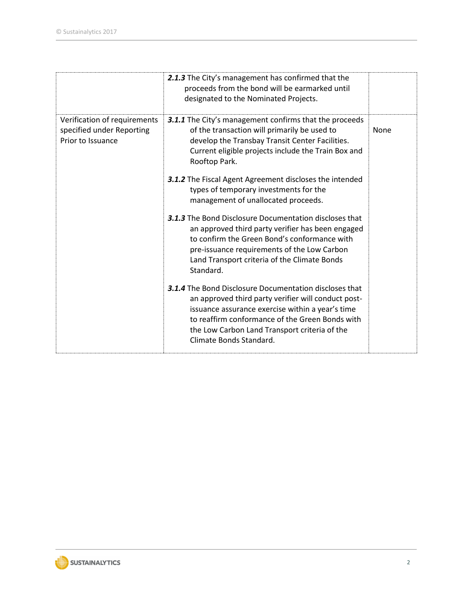|                                                                                | 2.1.3 The City's management has confirmed that the<br>proceeds from the bond will be earmarked until<br>designated to the Nominated Projects.                                                                                                                                                           |      |
|--------------------------------------------------------------------------------|---------------------------------------------------------------------------------------------------------------------------------------------------------------------------------------------------------------------------------------------------------------------------------------------------------|------|
| Verification of requirements<br>specified under Reporting<br>Prior to Issuance | 3.1.1 The City's management confirms that the proceeds<br>of the transaction will primarily be used to<br>develop the Transbay Transit Center Facilities.<br>Current eligible projects include the Train Box and<br>Rooftop Park.                                                                       | None |
|                                                                                | <b>3.1.2</b> The Fiscal Agent Agreement discloses the intended<br>types of temporary investments for the<br>management of unallocated proceeds.                                                                                                                                                         |      |
|                                                                                | <b>3.1.3</b> The Bond Disclosure Documentation discloses that<br>an approved third party verifier has been engaged<br>to confirm the Green Bond's conformance with<br>pre-issuance requirements of the Low Carbon<br>Land Transport criteria of the Climate Bonds<br>Standard.                          |      |
|                                                                                | <b>3.1.4</b> The Bond Disclosure Documentation discloses that<br>an approved third party verifier will conduct post-<br>issuance assurance exercise within a year's time<br>to reaffirm conformance of the Green Bonds with<br>the Low Carbon Land Transport criteria of the<br>Climate Bonds Standard. |      |

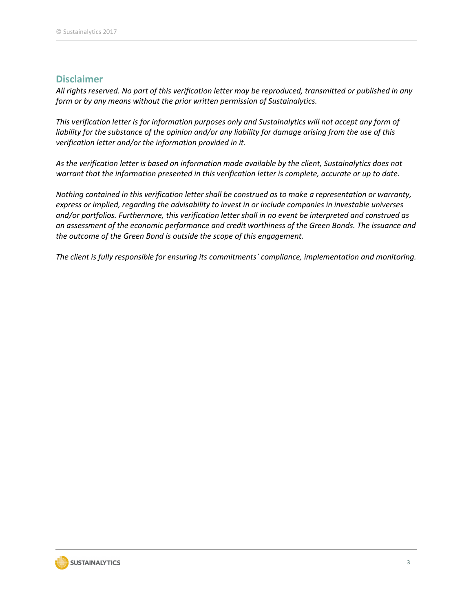#### **Disclaimer**

*All rights reserved. No part of this verification letter may be reproduced, transmitted or published in any form or by any means without the prior written permission of Sustainalytics.* 

*This verification letter is for information purposes only and Sustainalytics will not accept any form of liability for the substance of the opinion and/or any liability for damage arising from the use of this verification letter and/or the information provided in it.* 

*As the verification letter is based on information made available by the client, Sustainalytics does not warrant that the information presented in this verification letter is complete, accurate or up to date.* 

*Nothing contained in this verification letter shall be construed as to make a representation or warranty, express or implied, regarding the advisability to invest in or include companies in investable universes and/or portfolios. Furthermore, this verification letter shall in no event be interpreted and construed as an assessment of the economic performance and credit worthiness of the Green Bonds. The issuance and the outcome of the Green Bond is outside the scope of this engagement.* 

*The client is fully responsible for ensuring its commitments` compliance, implementation and monitoring.*